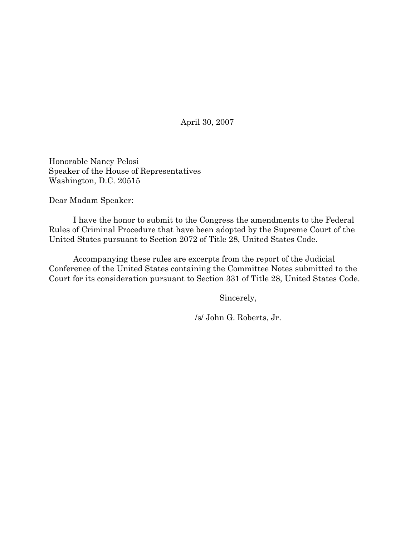April 30, 2007

Honorable Nancy Pelosi Speaker of the House of Representatives Washington, D.C. 20515

Dear Madam Speaker:

I have the honor to submit to the Congress the amendments to the Federal Rules of Criminal Procedure that have been adopted by the Supreme Court of the United States pursuant to Section 2072 of Title 28, United States Code.

Accompanying these rules are excerpts from the report of the Judicial Conference of the United States containing the Committee Notes submitted to the Court for its consideration pursuant to Section 331 of Title 28, United States Code.

Sincerely,

/s/ John G. Roberts, Jr.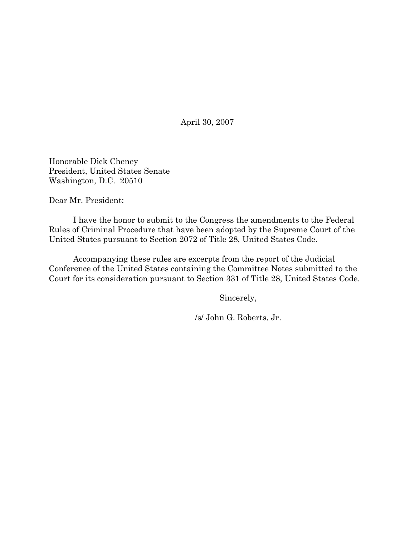April 30, 2007

Honorable Dick Cheney President, United States Senate Washington, D.C. 20510

Dear Mr. President:

I have the honor to submit to the Congress the amendments to the Federal Rules of Criminal Procedure that have been adopted by the Supreme Court of the United States pursuant to Section 2072 of Title 28, United States Code.

Accompanying these rules are excerpts from the report of the Judicial Conference of the United States containing the Committee Notes submitted to the Court for its consideration pursuant to Section 331 of Title 28, United States Code.

Sincerely,

/s/ John G. Roberts, Jr.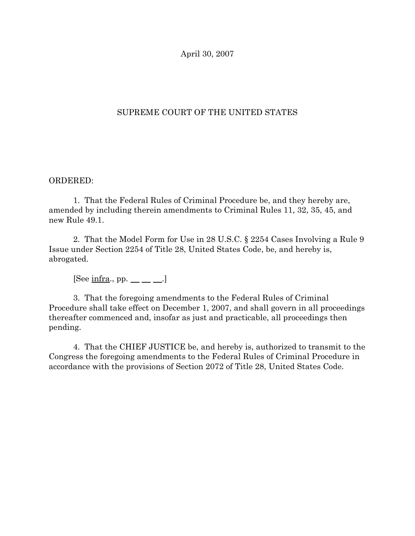April 30, 2007

# SUPREME COURT OF THE UNITED STATES

## ORDERED:

1. That the Federal Rules of Criminal Procedure be, and they hereby are, amended by including therein amendments to Criminal Rules 11, 32, 35, 45, and new Rule 49.1.

2. That the Model Form for Use in 28 U.S.C. § 2254 Cases Involving a Rule 9 Issue under Section 2254 of Title 28, United States Code, be, and hereby is, abrogated.

 $[See infra., pp. __ __.]$ 

3. That the foregoing amendments to the Federal Rules of Criminal Procedure shall take effect on December 1, 2007, and shall govern in all proceedings thereafter commenced and, insofar as just and practicable, all proceedings then pending.

4. That the CHIEF JUSTICE be, and hereby is, authorized to transmit to the Congress the foregoing amendments to the Federal Rules of Criminal Procedure in accordance with the provisions of Section 2072 of Title 28, United States Code.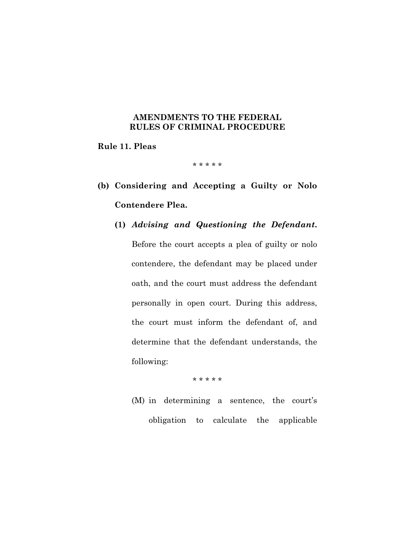## **AMENDMENTS TO THE FEDERAL RULES OF CRIMINAL PROCEDURE**

**Rule 11. Pleas** 

\* \* \* \* \*

- **(b) Considering and Accepting a Guilty or Nolo Contendere Plea.** 
	- **(1)** *Advising and Questioning the Defendant***.**

Before the court accepts a plea of guilty or nolo contendere, the defendant may be placed under oath, and the court must address the defendant personally in open court. During this address, the court must inform the defendant of, and determine that the defendant understands, the following:

\* \* \* \* \*

(M) in determining a sentence, the court's obligation to calculate the applicable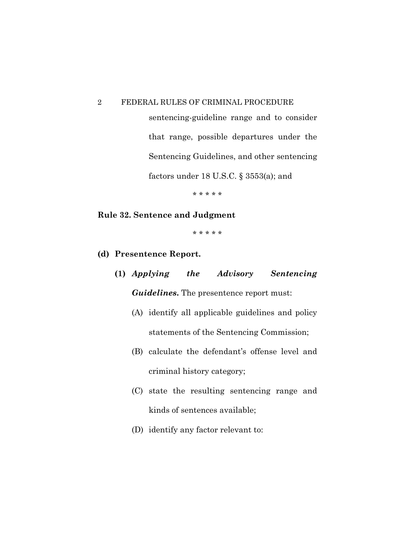sentencing-guideline range and to consider that range, possible departures under the Sentencing Guidelines, and other sentencing factors under 18 U.S.C. § 3553(a); and

\* \* \* \* \*

#### **Rule 32. Sentence and Judgment**

\* \* \* \* \*

- **(d) Presentence Report.** 
	- **(1)** *Applying the Advisory Sentencing Guidelines***.** The presentence report must:
		- (A) identify all applicable guidelines and policy statements of the Sentencing Commission;
		- (B) calculate the defendant's offense level and criminal history category;
		- (C) state the resulting sentencing range and kinds of sentences available;
		- (D) identify any factor relevant to: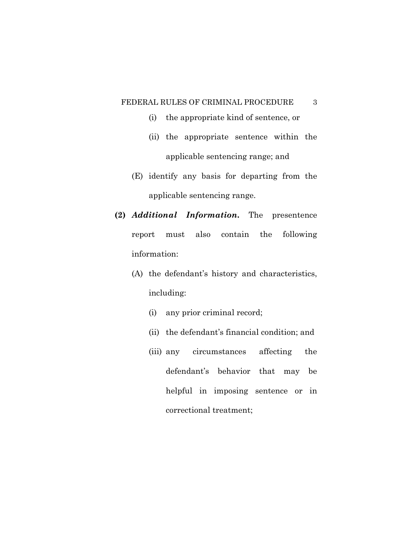- (i) the appropriate kind of sentence, or
- (ii) the appropriate sentence within the applicable sentencing range; and
- (E) identify any basis for departing from the applicable sentencing range.
- **(2)** *Additional Information***.** The presentence report must also contain the following information:
	- (A) the defendant's history and characteristics, including:
		- (i) any prior criminal record;
		- (ii) the defendant's financial condition; and
		- (iii) any circumstances affecting the defendant's behavior that may be helpful in imposing sentence or in correctional treatment;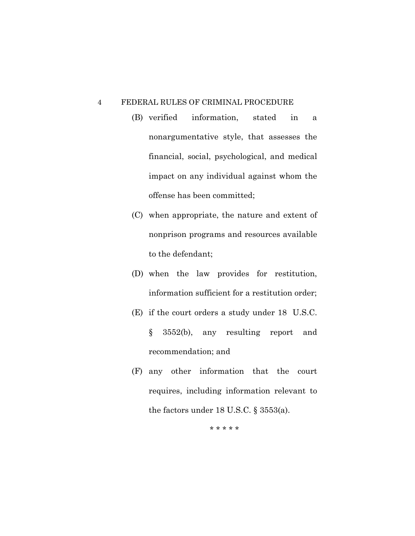- (B) verified information, stated in a nonargumentative style, that assesses the financial, social, psychological, and medical impact on any individual against whom the offense has been committed;
- (C) when appropriate, the nature and extent of nonprison programs and resources available to the defendant;
- (D) when the law provides for restitution, information sufficient for a restitution order;
- (E) if the court orders a study under 18 U.S.C. § 3552(b), any resulting report and recommendation; and
- (F) any other information that the court requires, including information relevant to the factors under 18 U.S.C.  $\S$  3553(a).

\* \* \* \* \*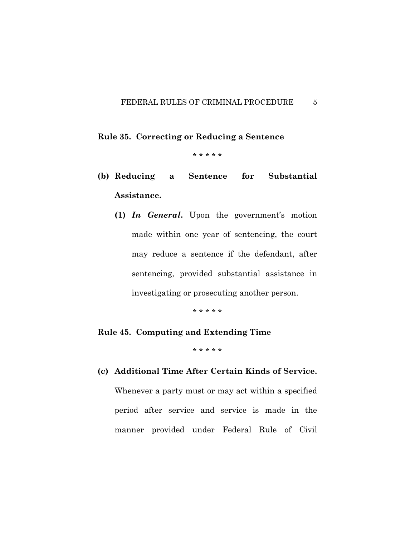#### **Rule 35. Correcting or Reducing a Sentence**

\* \* \* \* \*

- **(b) Reducing a Sentence for Substantial Assistance.** 
	- **(1)** *In General***.** Upon the government's motion made within one year of sentencing, the court may reduce a sentence if the defendant, after sentencing, provided substantial assistance in investigating or prosecuting another person.

\* \* \* \* \*

## **Rule 45. Computing and Extending Time**

\* \* \* \* \*

**(c) Additional Time After Certain Kinds of Service.** 

Whenever a party must or may act within a specified period after service and service is made in the manner provided under Federal Rule of Civil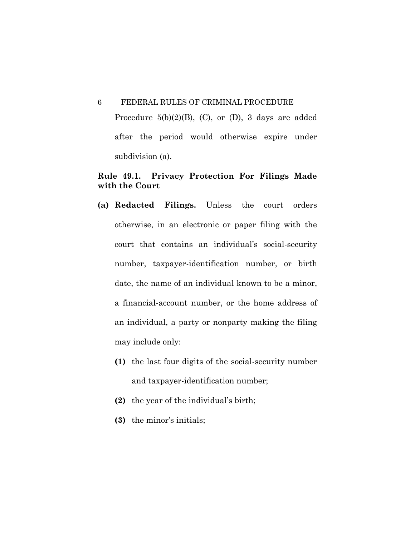Procedure  $5(b)(2)(B)$ , (C), or (D), 3 days are added after the period would otherwise expire under subdivision (a).

## **Rule 49.1. Privacy Protection For Filings Made with the Court**

- **(a) Redacted Filings.** Unless the court orders otherwise, in an electronic or paper filing with the court that contains an individual's social-security number, taxpayer-identification number, or birth date, the name of an individual known to be a minor, a financial-account number, or the home address of an individual, a party or nonparty making the filing may include only:
	- **(1)** the last four digits of the social-security number and taxpayer-identification number;
	- **(2)** the year of the individual's birth;
	- **(3)** the minor's initials;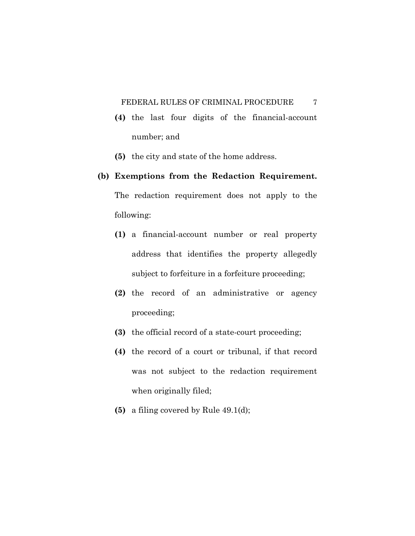- **(4)** the last four digits of the financial-account number; and
- **(5)** the city and state of the home address.
- **(b) Exemptions from the Redaction Requirement.**  The redaction requirement does not apply to the following:
	- **(1)** a financial-account number or real property address that identifies the property allegedly subject to forfeiture in a forfeiture proceeding;
	- **(2)** the record of an administrative or agency proceeding;
	- **(3)** the official record of a state-court proceeding;
	- **(4)** the record of a court or tribunal, if that record was not subject to the redaction requirement when originally filed;
	- **(5)** a filing covered by Rule 49.1(d);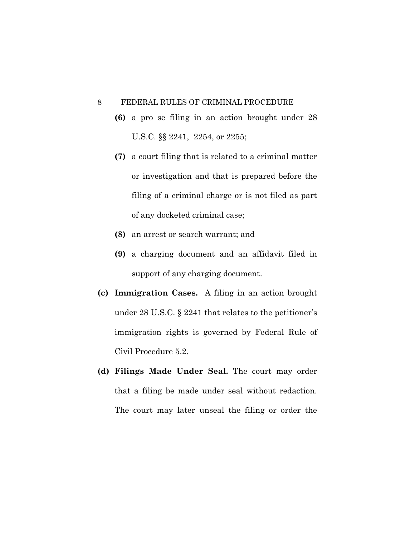- **(6)** a pro se filing in an action brought under 28 U.S.C. §§ 2241, 2254, or 2255;
- **(7)** a court filing that is related to a criminal matter or investigation and that is prepared before the filing of a criminal charge or is not filed as part of any docketed criminal case;
- **(8)** an arrest or search warrant; and
- **(9)** a charging document and an affidavit filed in support of any charging document.
- **(c) Immigration Cases.** A filing in an action brought under 28 U.S.C. § 2241 that relates to the petitioner's immigration rights is governed by Federal Rule of Civil Procedure 5.2.
- **(d) Filings Made Under Seal.** The court may order that a filing be made under seal without redaction. The court may later unseal the filing or order the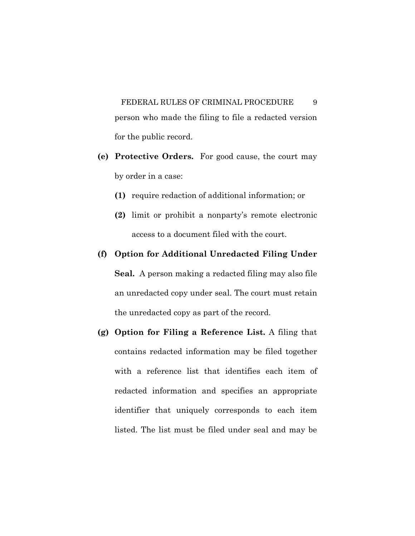FEDERAL RULES OF CRIMINAL PROCEDURE 9 person who made the filing to file a redacted version for the public record.

- **(e) Protective Orders.** For good cause, the court may by order in a case:
	- **(1)** require redaction of additional information; or
	- **(2)** limit or prohibit a nonparty's remote electronic access to a document filed with the court.

**(f) Option for Additional Unredacted Filing Under Seal.** A person making a redacted filing may also file an unredacted copy under seal. The court must retain the unredacted copy as part of the record.

**(g) Option for Filing a Reference List.** A filing that contains redacted information may be filed together with a reference list that identifies each item of redacted information and specifies an appropriate identifier that uniquely corresponds to each item listed. The list must be filed under seal and may be